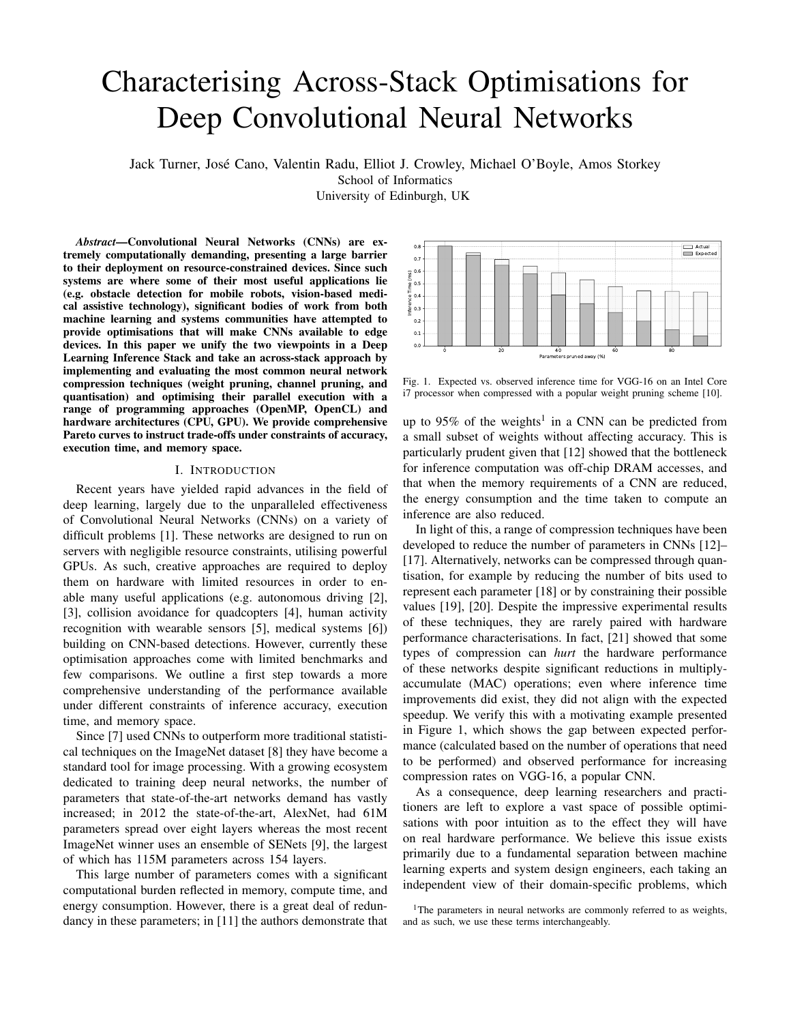# Characterising Across-Stack Optimisations for Deep Convolutional Neural Networks

Jack Turner, Jose Cano, Valentin Radu, Elliot J. Crowley, Michael O'Boyle, Amos Storkey ´

School of Informatics

University of Edinburgh, UK

*Abstract*—Convolutional Neural Networks (CNNs) are extremely computationally demanding, presenting a large barrier to their deployment on resource-constrained devices. Since such systems are where some of their most useful applications lie (e.g. obstacle detection for mobile robots, vision-based medical assistive technology), significant bodies of work from both machine learning and systems communities have attempted to provide optimisations that will make CNNs available to edge devices. In this paper we unify the two viewpoints in a Deep Learning Inference Stack and take an across-stack approach by implementing and evaluating the most common neural network compression techniques (weight pruning, channel pruning, and quantisation) and optimising their parallel execution with a range of programming approaches (OpenMP, OpenCL) and hardware architectures (CPU, GPU). We provide comprehensive Pareto curves to instruct trade-offs under constraints of accuracy, execution time, and memory space.

#### I. INTRODUCTION

Recent years have yielded rapid advances in the field of deep learning, largely due to the unparalleled effectiveness of Convolutional Neural Networks (CNNs) on a variety of difficult problems [1]. These networks are designed to run on servers with negligible resource constraints, utilising powerful GPUs. As such, creative approaches are required to deploy them on hardware with limited resources in order to enable many useful applications (e.g. autonomous driving [2], [3], collision avoidance for quadcopters [4], human activity recognition with wearable sensors [5], medical systems [6]) building on CNN-based detections. However, currently these optimisation approaches come with limited benchmarks and few comparisons. We outline a first step towards a more comprehensive understanding of the performance available under different constraints of inference accuracy, execution time, and memory space.

Since [7] used CNNs to outperform more traditional statistical techniques on the ImageNet dataset [8] they have become a standard tool for image processing. With a growing ecosystem dedicated to training deep neural networks, the number of parameters that state-of-the-art networks demand has vastly increased; in 2012 the state-of-the-art, AlexNet, had 61M parameters spread over eight layers whereas the most recent ImageNet winner uses an ensemble of SENets [9], the largest of which has 115M parameters across 154 layers.

This large number of parameters comes with a significant computational burden reflected in memory, compute time, and energy consumption. However, there is a great deal of redundancy in these parameters; in [11] the authors demonstrate that



Fig. 1. Expected vs. observed inference time for VGG-16 on an Intel Core i7 processor when compressed with a popular weight pruning scheme [10].

up to 95% of the weights<sup>1</sup> in a CNN can be predicted from a small subset of weights without affecting accuracy. This is particularly prudent given that [12] showed that the bottleneck for inference computation was off-chip DRAM accesses, and that when the memory requirements of a CNN are reduced, the energy consumption and the time taken to compute an inference are also reduced.

In light of this, a range of compression techniques have been developed to reduce the number of parameters in CNNs [12]– [17]. Alternatively, networks can be compressed through quantisation, for example by reducing the number of bits used to represent each parameter [18] or by constraining their possible values [19], [20]. Despite the impressive experimental results of these techniques, they are rarely paired with hardware performance characterisations. In fact, [21] showed that some types of compression can *hurt* the hardware performance of these networks despite significant reductions in multiplyaccumulate (MAC) operations; even where inference time improvements did exist, they did not align with the expected speedup. We verify this with a motivating example presented in Figure 1, which shows the gap between expected performance (calculated based on the number of operations that need to be performed) and observed performance for increasing compression rates on VGG-16, a popular CNN.

As a consequence, deep learning researchers and practitioners are left to explore a vast space of possible optimisations with poor intuition as to the effect they will have on real hardware performance. We believe this issue exists primarily due to a fundamental separation between machine learning experts and system design engineers, each taking an independent view of their domain-specific problems, which

<sup>&</sup>lt;sup>1</sup>The parameters in neural networks are commonly referred to as weights, and as such, we use these terms interchangeably.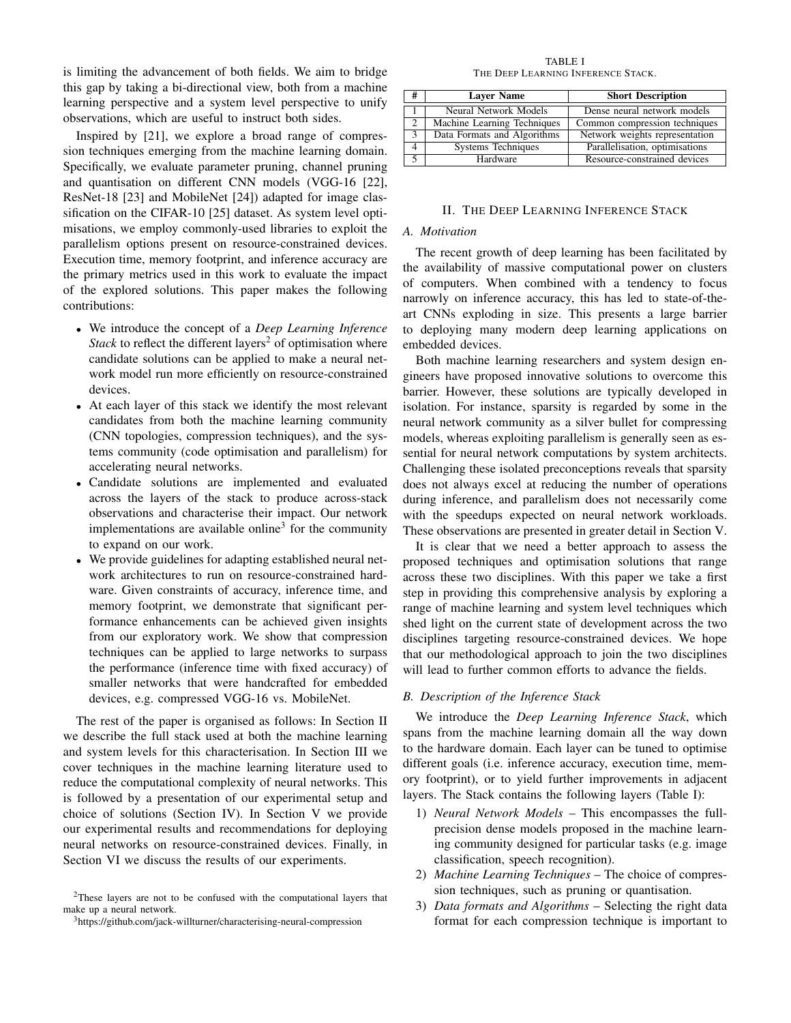is limiting the advancement of both fields. We aim to bridge this gap by taking a bi-directional view, both from a machine learning perspective and a system level perspective to unify observations, which are useful to instruct both sides.

Inspired by [21], we explore a broad range of compression techniques emerging from the machine learning domain. Specifically, we evaluate parameter pruning, channel pruning and quantisation on different CNN models (VGG-16 [22], ResNet-18 [23] and MobileNet [24]) adapted for image classification on the CIFAR-10 [25] dataset. As system level optimisations, we employ commonly-used libraries to exploit the parallelism options present on resource-constrained devices. Execution time, memory footprint, and inference accuracy are the primary metrics used in this work to evaluate the impact of the explored solutions. This paper makes the following contributions:

- We introduce the concept of a *Deep Learning Inference Stack* to reflect the different layers<sup>2</sup> of optimisation where candidate solutions can be applied to make a neural network model run more efficiently on resource-constrained devices.
- At each layer of this stack we identify the most relevant candidates from both the machine learning community (CNN topologies, compression techniques), and the systems community (code optimisation and parallelism) for accelerating neural networks.
- Candidate solutions are implemented and evaluated across the layers of the stack to produce across-stack observations and characterise their impact. Our network implementations are available online<sup>3</sup> for the community to expand on our work.
- We provide guidelines for adapting established neural network architectures to run on resource-constrained hardware. Given constraints of accuracy, inference time, and memory footprint, we demonstrate that significant performance enhancements can be achieved given insights from our exploratory work. We show that compression techniques can be applied to large networks to surpass the performance (inference time with fixed accuracy) of smaller networks that were handcrafted for embedded devices, e.g. compressed VGG-16 vs. MobileNet.

The rest of the paper is organised as follows: In Section II we describe the full stack used at both the machine learning and system levels for this characterisation. In Section III we cover techniques in the machine learning literature used to reduce the computational complexity of neural networks. This is followed by a presentation of our experimental setup and choice of solutions (Section IV). In Section V we provide our experimental results and recommendations for deploying neural networks on resource-constrained devices. Finally, in Section VI we discuss the results of our experiments.

TABLE I THE DEEP LEARNING INFERENCE STACK.

| #             | <b>Laver Name</b>           | <b>Short Description</b>       |  |
|---------------|-----------------------------|--------------------------------|--|
|               | Neural Network Models       | Dense neural network models    |  |
| $\mathcal{D}$ | Machine Learning Techniques | Common compression techniques  |  |
| 3             | Data Formats and Algorithms | Network weights representation |  |
|               | Systems Techniques          | Parallelisation, optimisations |  |
|               | Hardware                    | Resource-constrained devices   |  |

#### II. THE DEEP LEARNING INFERENCE STACK

#### *A. Motivation*

The recent growth of deep learning has been facilitated by the availability of massive computational power on clusters of computers. When combined with a tendency to focus narrowly on inference accuracy, this has led to state-of-theart CNNs exploding in size. This presents a large barrier to deploying many modern deep learning applications on embedded devices.

Both machine learning researchers and system design engineers have proposed innovative solutions to overcome this barrier. However, these solutions are typically developed in isolation. For instance, sparsity is regarded by some in the neural network community as a silver bullet for compressing models, whereas exploiting parallelism is generally seen as essential for neural network computations by system architects. Challenging these isolated preconceptions reveals that sparsity does not always excel at reducing the number of operations during inference, and parallelism does not necessarily come with the speedups expected on neural network workloads. These observations are presented in greater detail in Section V.

It is clear that we need a better approach to assess the proposed techniques and optimisation solutions that range across these two disciplines. With this paper we take a first step in providing this comprehensive analysis by exploring a range of machine learning and system level techniques which shed light on the current state of development across the two disciplines targeting resource-constrained devices. We hope that our methodological approach to join the two disciplines will lead to further common efforts to advance the fields.

# *B. Description of the Inference Stack*

We introduce the *Deep Learning Inference Stack*, which spans from the machine learning domain all the way down to the hardware domain. Each layer can be tuned to optimise different goals (i.e. inference accuracy, execution time, memory footprint), or to yield further improvements in adjacent layers. The Stack contains the following layers (Table I):

- 1) *Neural Network Models* This encompasses the fullprecision dense models proposed in the machine learning community designed for particular tasks (e.g. image classification, speech recognition).
- 2) *Machine Learning Techniques* The choice of compression techniques, such as pruning or quantisation.
- 3) *Data formats and Algorithms* Selecting the right data format for each compression technique is important to

<sup>2</sup>These layers are not to be confused with the computational layers that make up a neural network.

<sup>3</sup>https://github.com/jack-willturner/characterising-neural-compression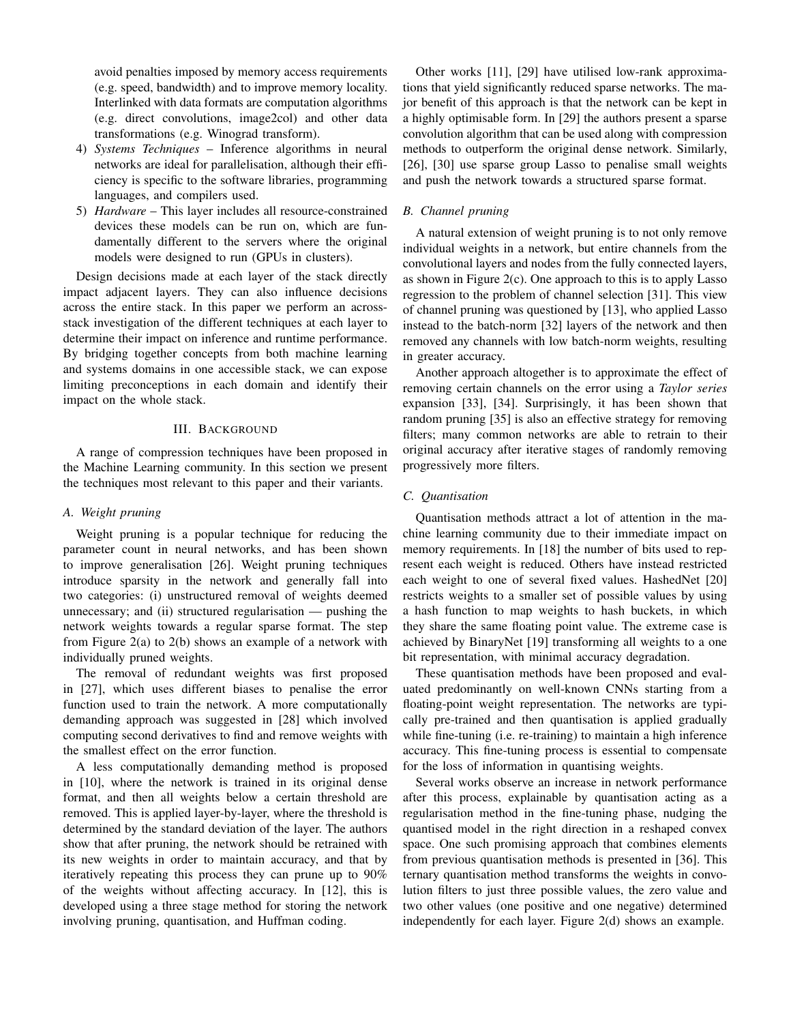avoid penalties imposed by memory access requirements (e.g. speed, bandwidth) and to improve memory locality. Interlinked with data formats are computation algorithms (e.g. direct convolutions, image2col) and other data transformations (e.g. Winograd transform).

- 4) *Systems Techniques* Inference algorithms in neural networks are ideal for parallelisation, although their efficiency is specific to the software libraries, programming languages, and compilers used.
- 5) *Hardware* This layer includes all resource-constrained devices these models can be run on, which are fundamentally different to the servers where the original models were designed to run (GPUs in clusters).

Design decisions made at each layer of the stack directly impact adjacent layers. They can also influence decisions across the entire stack. In this paper we perform an acrossstack investigation of the different techniques at each layer to determine their impact on inference and runtime performance. By bridging together concepts from both machine learning and systems domains in one accessible stack, we can expose limiting preconceptions in each domain and identify their impact on the whole stack.

#### III. BACKGROUND

A range of compression techniques have been proposed in the Machine Learning community. In this section we present the techniques most relevant to this paper and their variants.

# *A. Weight pruning*

Weight pruning is a popular technique for reducing the parameter count in neural networks, and has been shown to improve generalisation [26]. Weight pruning techniques introduce sparsity in the network and generally fall into two categories: (i) unstructured removal of weights deemed unnecessary; and (ii) structured regularisation — pushing the network weights towards a regular sparse format. The step from Figure 2(a) to 2(b) shows an example of a network with individually pruned weights.

The removal of redundant weights was first proposed in [27], which uses different biases to penalise the error function used to train the network. A more computationally demanding approach was suggested in [28] which involved computing second derivatives to find and remove weights with the smallest effect on the error function.

A less computationally demanding method is proposed in [10], where the network is trained in its original dense format, and then all weights below a certain threshold are removed. This is applied layer-by-layer, where the threshold is determined by the standard deviation of the layer. The authors show that after pruning, the network should be retrained with its new weights in order to maintain accuracy, and that by iteratively repeating this process they can prune up to 90% of the weights without affecting accuracy. In [12], this is developed using a three stage method for storing the network involving pruning, quantisation, and Huffman coding.

Other works [11], [29] have utilised low-rank approximations that yield significantly reduced sparse networks. The major benefit of this approach is that the network can be kept in a highly optimisable form. In [29] the authors present a sparse convolution algorithm that can be used along with compression methods to outperform the original dense network. Similarly, [26], [30] use sparse group Lasso to penalise small weights and push the network towards a structured sparse format.

## *B. Channel pruning*

A natural extension of weight pruning is to not only remove individual weights in a network, but entire channels from the convolutional layers and nodes from the fully connected layers, as shown in Figure 2(c). One approach to this is to apply Lasso regression to the problem of channel selection [31]. This view of channel pruning was questioned by [13], who applied Lasso instead to the batch-norm [32] layers of the network and then removed any channels with low batch-norm weights, resulting in greater accuracy.

Another approach altogether is to approximate the effect of removing certain channels on the error using a *Taylor series* expansion [33], [34]. Surprisingly, it has been shown that random pruning [35] is also an effective strategy for removing filters; many common networks are able to retrain to their original accuracy after iterative stages of randomly removing progressively more filters.

## *C. Quantisation*

Quantisation methods attract a lot of attention in the machine learning community due to their immediate impact on memory requirements. In [18] the number of bits used to represent each weight is reduced. Others have instead restricted each weight to one of several fixed values. HashedNet [20] restricts weights to a smaller set of possible values by using a hash function to map weights to hash buckets, in which they share the same floating point value. The extreme case is achieved by BinaryNet [19] transforming all weights to a one bit representation, with minimal accuracy degradation.

These quantisation methods have been proposed and evaluated predominantly on well-known CNNs starting from a floating-point weight representation. The networks are typically pre-trained and then quantisation is applied gradually while fine-tuning (i.e. re-training) to maintain a high inference accuracy. This fine-tuning process is essential to compensate for the loss of information in quantising weights.

Several works observe an increase in network performance after this process, explainable by quantisation acting as a regularisation method in the fine-tuning phase, nudging the quantised model in the right direction in a reshaped convex space. One such promising approach that combines elements from previous quantisation methods is presented in [36]. This ternary quantisation method transforms the weights in convolution filters to just three possible values, the zero value and two other values (one positive and one negative) determined independently for each layer. Figure 2(d) shows an example.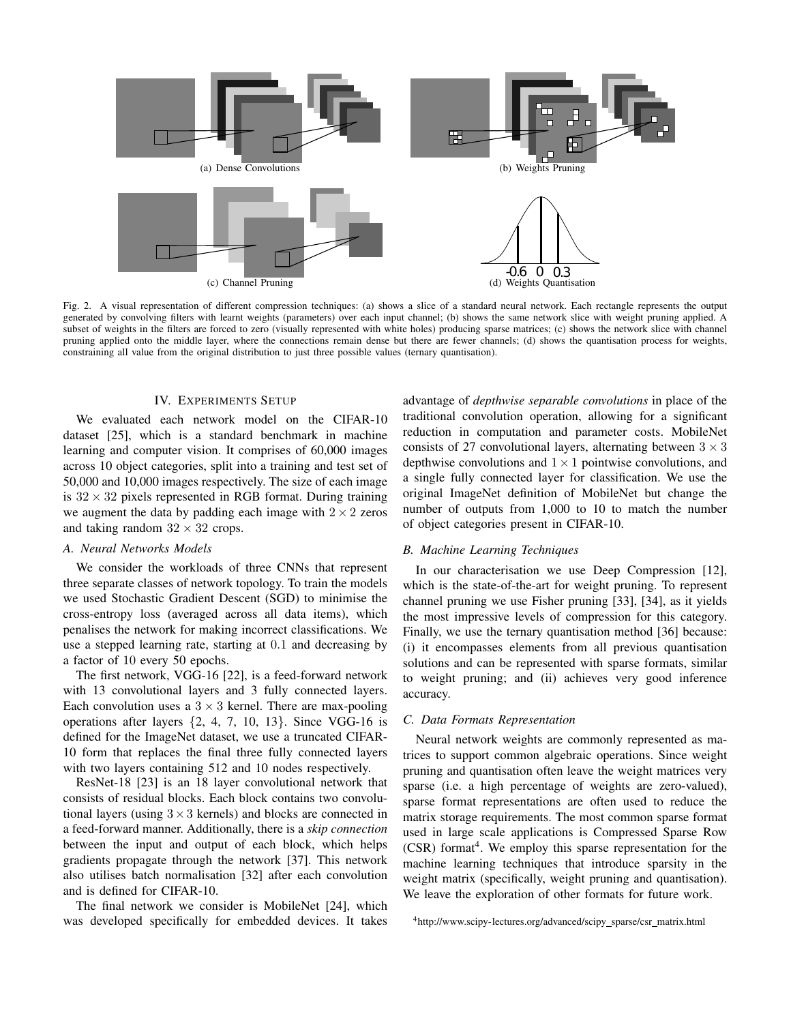

Fig. 2. A visual representation of different compression techniques: (a) shows a slice of a standard neural network. Each rectangle represents the output generated by convolving filters with learnt weights (parameters) over each input channel; (b) shows the same network slice with weight pruning applied. A subset of weights in the filters are forced to zero (visually represented with white holes) producing sparse matrices; (c) shows the network slice with channel pruning applied onto the middle layer, where the connections remain dense but there are fewer channels; (d) shows the quantisation process for weights, constraining all value from the original distribution to just three possible values (ternary quantisation).

## IV. EXPERIMENTS SETUP

We evaluated each network model on the CIFAR-10 dataset [25], which is a standard benchmark in machine learning and computer vision. It comprises of 60,000 images across 10 object categories, split into a training and test set of 50,000 and 10,000 images respectively. The size of each image is  $32 \times 32$  pixels represented in RGB format. During training we augment the data by padding each image with  $2 \times 2$  zeros and taking random  $32 \times 32$  crops.

## *A. Neural Networks Models*

We consider the workloads of three CNNs that represent three separate classes of network topology. To train the models we used Stochastic Gradient Descent (SGD) to minimise the cross-entropy loss (averaged across all data items), which penalises the network for making incorrect classifications. We use a stepped learning rate, starting at 0.1 and decreasing by a factor of 10 every 50 epochs.

The first network, VGG-16 [22], is a feed-forward network with 13 convolutional layers and 3 fully connected layers. Each convolution uses a  $3 \times 3$  kernel. There are max-pooling operations after layers  $\{2, 4, 7, 10, 13\}$ . Since VGG-16 is defined for the ImageNet dataset, we use a truncated CIFAR-10 form that replaces the final three fully connected layers with two layers containing 512 and 10 nodes respectively.

ResNet-18 [23] is an 18 layer convolutional network that consists of residual blocks. Each block contains two convolutional layers (using  $3 \times 3$  kernels) and blocks are connected in a feed-forward manner. Additionally, there is a *skip connection* between the input and output of each block, which helps gradients propagate through the network [37]. This network also utilises batch normalisation [32] after each convolution and is defined for CIFAR-10.

The final network we consider is MobileNet [24], which was developed specifically for embedded devices. It takes

advantage of *depthwise separable convolutions* in place of the traditional convolution operation, allowing for a significant reduction in computation and parameter costs. MobileNet consists of 27 convolutional layers, alternating between  $3 \times 3$ depthwise convolutions and  $1 \times 1$  pointwise convolutions, and a single fully connected layer for classification. We use the original ImageNet definition of MobileNet but change the number of outputs from 1,000 to 10 to match the number of object categories present in CIFAR-10.

#### *B. Machine Learning Techniques*

In our characterisation we use Deep Compression [12], which is the state-of-the-art for weight pruning. To represent channel pruning we use Fisher pruning [33], [34], as it yields the most impressive levels of compression for this category. Finally, we use the ternary quantisation method [36] because: (i) it encompasses elements from all previous quantisation solutions and can be represented with sparse formats, similar to weight pruning; and (ii) achieves very good inference accuracy.

#### *C. Data Formats Representation*

Neural network weights are commonly represented as matrices to support common algebraic operations. Since weight pruning and quantisation often leave the weight matrices very sparse (i.e. a high percentage of weights are zero-valued), sparse format representations are often used to reduce the matrix storage requirements. The most common sparse format used in large scale applications is Compressed Sparse Row (CSR) format<sup>4</sup>. We employ this sparse representation for the machine learning techniques that introduce sparsity in the weight matrix (specifically, weight pruning and quantisation). We leave the exploration of other formats for future work.

<sup>4</sup>http://www.scipy-lectures.org/advanced/scipy\_sparse/csr\_matrix.html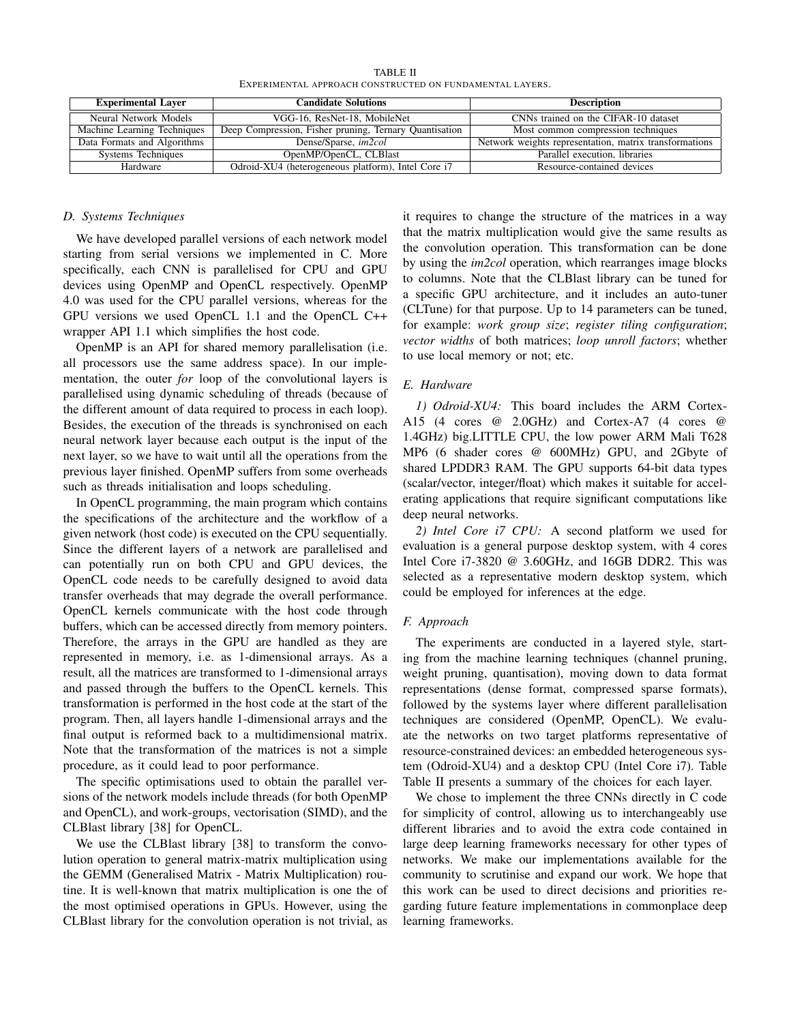TABLE II EXPERIMENTAL APPROACH CONSTRUCTED ON FUNDAMENTAL LAYERS.

| <b>Experimental Layer</b>   | <b>Candidate Solutions</b>                             | <b>Description</b>                                     |  |
|-----------------------------|--------------------------------------------------------|--------------------------------------------------------|--|
| Neural Network Models       | VGG-16, ResNet-18, MobileNet                           | CNNs trained on the CIFAR-10 dataset                   |  |
| Machine Learning Techniques | Deep Compression, Fisher pruning, Ternary Quantisation | Most common compression techniques                     |  |
| Data Formats and Algorithms | Dense/Sparse, <i>im2col</i>                            | Network weights representation, matrix transformations |  |
| Systems Techniques          | OpenMP/OpenCL, CLBlast                                 | Parallel execution, libraries                          |  |
| Hardware                    | Odroid-XU4 (heterogeneous platform), Intel Core i7     | Resource-contained devices                             |  |

## *D. Systems Techniques*

We have developed parallel versions of each network model starting from serial versions we implemented in C. More specifically, each CNN is parallelised for CPU and GPU devices using OpenMP and OpenCL respectively. OpenMP 4.0 was used for the CPU parallel versions, whereas for the GPU versions we used OpenCL 1.1 and the OpenCL C++ wrapper API 1.1 which simplifies the host code.

OpenMP is an API for shared memory parallelisation (i.e. all processors use the same address space). In our implementation, the outer *for* loop of the convolutional layers is parallelised using dynamic scheduling of threads (because of the different amount of data required to process in each loop). Besides, the execution of the threads is synchronised on each neural network layer because each output is the input of the next layer, so we have to wait until all the operations from the previous layer finished. OpenMP suffers from some overheads such as threads initialisation and loops scheduling.

In OpenCL programming, the main program which contains the specifications of the architecture and the workflow of a given network (host code) is executed on the CPU sequentially. Since the different layers of a network are parallelised and can potentially run on both CPU and GPU devices, the OpenCL code needs to be carefully designed to avoid data transfer overheads that may degrade the overall performance. OpenCL kernels communicate with the host code through buffers, which can be accessed directly from memory pointers. Therefore, the arrays in the GPU are handled as they are represented in memory, i.e. as 1-dimensional arrays. As a result, all the matrices are transformed to 1-dimensional arrays and passed through the buffers to the OpenCL kernels. This transformation is performed in the host code at the start of the program. Then, all layers handle 1-dimensional arrays and the final output is reformed back to a multidimensional matrix. Note that the transformation of the matrices is not a simple procedure, as it could lead to poor performance.

The specific optimisations used to obtain the parallel versions of the network models include threads (for both OpenMP and OpenCL), and work-groups, vectorisation (SIMD), and the CLBlast library [38] for OpenCL.

We use the CLBlast library [38] to transform the convolution operation to general matrix-matrix multiplication using the GEMM (Generalised Matrix - Matrix Multiplication) routine. It is well-known that matrix multiplication is one the of the most optimised operations in GPUs. However, using the CLBlast library for the convolution operation is not trivial, as it requires to change the structure of the matrices in a way that the matrix multiplication would give the same results as the convolution operation. This transformation can be done by using the *im2col* operation, which rearranges image blocks to columns. Note that the CLBlast library can be tuned for a specific GPU architecture, and it includes an auto-tuner (CLTune) for that purpose. Up to 14 parameters can be tuned, for example: *work group size*; *register tiling configuration*; *vector widths* of both matrices; *loop unroll factors*; whether to use local memory or not; etc.

## *E. Hardware*

*1) Odroid-XU4:* This board includes the ARM Cortex-A15 (4 cores @ 2.0GHz) and Cortex-A7 (4 cores @ 1.4GHz) big.LITTLE CPU, the low power ARM Mali T628 MP6 (6 shader cores @ 600MHz) GPU, and 2Gbyte of shared LPDDR3 RAM. The GPU supports 64-bit data types (scalar/vector, integer/float) which makes it suitable for accelerating applications that require significant computations like deep neural networks.

*2) Intel Core i7 CPU:* A second platform we used for evaluation is a general purpose desktop system, with 4 cores Intel Core i7-3820 @ 3.60GHz, and 16GB DDR2. This was selected as a representative modern desktop system, which could be employed for inferences at the edge.

#### *F. Approach*

The experiments are conducted in a layered style, starting from the machine learning techniques (channel pruning, weight pruning, quantisation), moving down to data format representations (dense format, compressed sparse formats), followed by the systems layer where different parallelisation techniques are considered (OpenMP, OpenCL). We evaluate the networks on two target platforms representative of resource-constrained devices: an embedded heterogeneous system (Odroid-XU4) and a desktop CPU (Intel Core i7). Table Table II presents a summary of the choices for each layer.

We chose to implement the three CNNs directly in C code for simplicity of control, allowing us to interchangeably use different libraries and to avoid the extra code contained in large deep learning frameworks necessary for other types of networks. We make our implementations available for the community to scrutinise and expand our work. We hope that this work can be used to direct decisions and priorities regarding future feature implementations in commonplace deep learning frameworks.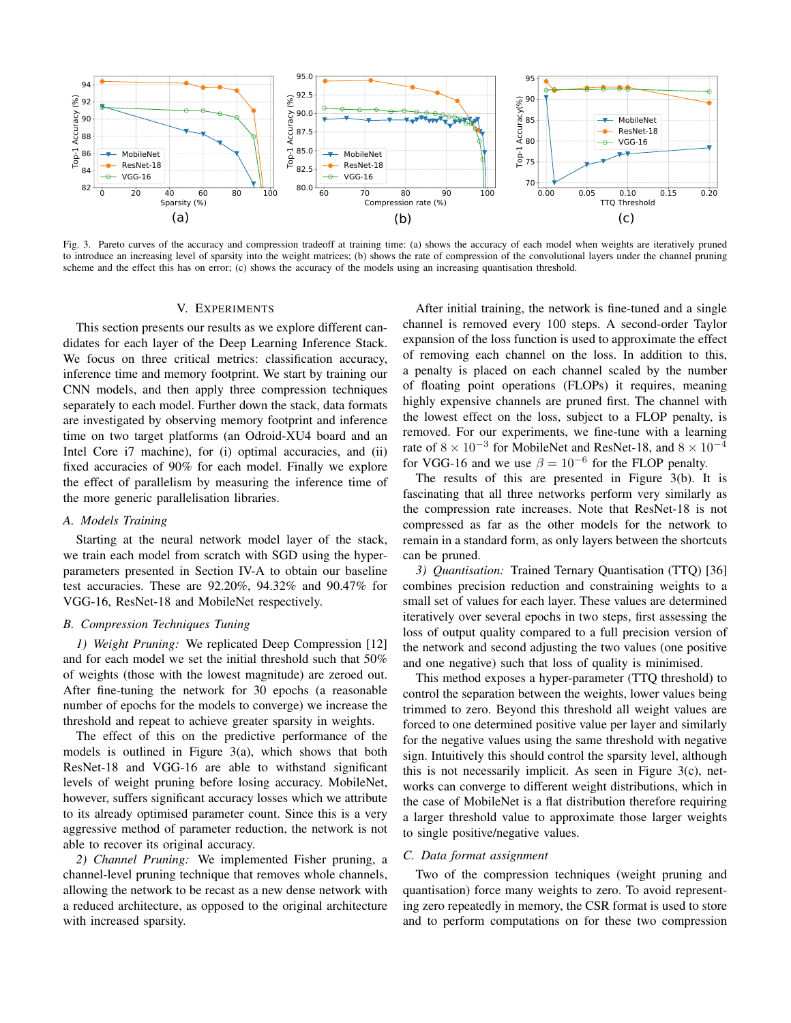

Fig. 3. Pareto curves of the accuracy and compression tradeoff at training time: (a) shows the accuracy of each model when weights are iteratively pruned to introduce an increasing level of sparsity into the weight matrices; (b) shows the rate of compression of the convolutional layers under the channel pruning scheme and the effect this has on error; (c) shows the accuracy of the models using an increasing quantisation threshold.

#### V. EXPERIMENTS

This section presents our results as we explore different candidates for each layer of the Deep Learning Inference Stack. We focus on three critical metrics: classification accuracy, inference time and memory footprint. We start by training our CNN models, and then apply three compression techniques separately to each model. Further down the stack, data formats are investigated by observing memory footprint and inference time on two target platforms (an Odroid-XU4 board and an Intel Core i7 machine), for (i) optimal accuracies, and (ii) fixed accuracies of 90% for each model. Finally we explore the effect of parallelism by measuring the inference time of the more generic parallelisation libraries.

#### *A. Models Training*

Starting at the neural network model layer of the stack, we train each model from scratch with SGD using the hyperparameters presented in Section IV-A to obtain our baseline test accuracies. These are 92.20%, 94.32% and 90.47% for VGG-16, ResNet-18 and MobileNet respectively.

# *B. Compression Techniques Tuning*

*1) Weight Pruning:* We replicated Deep Compression [12] and for each model we set the initial threshold such that 50% of weights (those with the lowest magnitude) are zeroed out. After fine-tuning the network for 30 epochs (a reasonable number of epochs for the models to converge) we increase the threshold and repeat to achieve greater sparsity in weights.

The effect of this on the predictive performance of the models is outlined in Figure 3(a), which shows that both ResNet-18 and VGG-16 are able to withstand significant levels of weight pruning before losing accuracy. MobileNet, however, suffers significant accuracy losses which we attribute to its already optimised parameter count. Since this is a very aggressive method of parameter reduction, the network is not able to recover its original accuracy.

*2) Channel Pruning:* We implemented Fisher pruning, a channel-level pruning technique that removes whole channels, allowing the network to be recast as a new dense network with a reduced architecture, as opposed to the original architecture with increased sparsity.

After initial training, the network is fine-tuned and a single channel is removed every 100 steps. A second-order Taylor expansion of the loss function is used to approximate the effect of removing each channel on the loss. In addition to this, a penalty is placed on each channel scaled by the number of floating point operations (FLOPs) it requires, meaning highly expensive channels are pruned first. The channel with the lowest effect on the loss, subject to a FLOP penalty, is removed. For our experiments, we fine-tune with a learning rate of  $8 \times 10^{-3}$  for MobileNet and ResNet-18, and  $8 \times 10^{-4}$ for VGG-16 and we use  $\beta = 10^{-6}$  for the FLOP penalty.

The results of this are presented in Figure 3(b). It is fascinating that all three networks perform very similarly as the compression rate increases. Note that ResNet-18 is not compressed as far as the other models for the network to remain in a standard form, as only layers between the shortcuts can be pruned.

*3) Quantisation:* Trained Ternary Quantisation (TTQ) [36] combines precision reduction and constraining weights to a small set of values for each layer. These values are determined iteratively over several epochs in two steps, first assessing the loss of output quality compared to a full precision version of the network and second adjusting the two values (one positive and one negative) such that loss of quality is minimised.

This method exposes a hyper-parameter (TTQ threshold) to control the separation between the weights, lower values being trimmed to zero. Beyond this threshold all weight values are forced to one determined positive value per layer and similarly for the negative values using the same threshold with negative sign. Intuitively this should control the sparsity level, although this is not necessarily implicit. As seen in Figure 3(c), networks can converge to different weight distributions, which in the case of MobileNet is a flat distribution therefore requiring a larger threshold value to approximate those larger weights to single positive/negative values.

## *C. Data format assignment*

Two of the compression techniques (weight pruning and quantisation) force many weights to zero. To avoid representing zero repeatedly in memory, the CSR format is used to store and to perform computations on for these two compression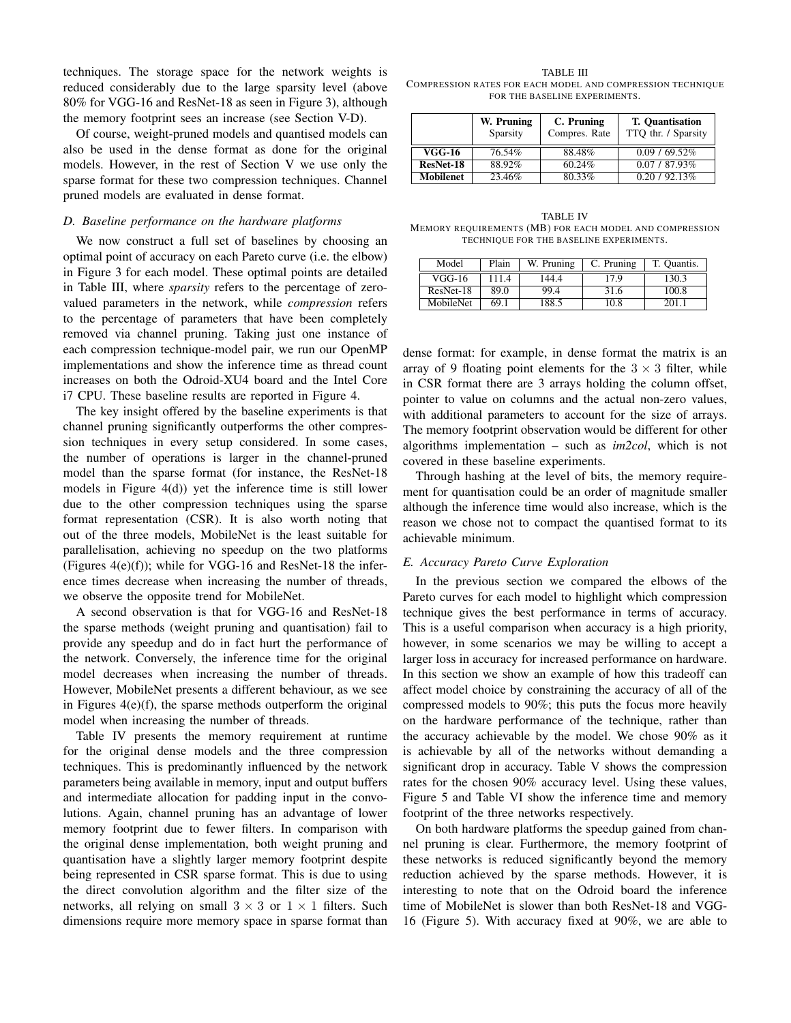techniques. The storage space for the network weights is reduced considerably due to the large sparsity level (above 80% for VGG-16 and ResNet-18 as seen in Figure 3), although the memory footprint sees an increase (see Section V-D).

Of course, weight-pruned models and quantised models can also be used in the dense format as done for the original models. However, in the rest of Section V we use only the sparse format for these two compression techniques. Channel pruned models are evaluated in dense format.

# *D. Baseline performance on the hardware platforms*

We now construct a full set of baselines by choosing an optimal point of accuracy on each Pareto curve (i.e. the elbow) in Figure 3 for each model. These optimal points are detailed in Table III, where *sparsity* refers to the percentage of zerovalued parameters in the network, while *compression* refers to the percentage of parameters that have been completely removed via channel pruning. Taking just one instance of each compression technique-model pair, we run our OpenMP implementations and show the inference time as thread count increases on both the Odroid-XU4 board and the Intel Core i7 CPU. These baseline results are reported in Figure 4.

The key insight offered by the baseline experiments is that channel pruning significantly outperforms the other compression techniques in every setup considered. In some cases, the number of operations is larger in the channel-pruned model than the sparse format (for instance, the ResNet-18 models in Figure 4(d)) yet the inference time is still lower due to the other compression techniques using the sparse format representation (CSR). It is also worth noting that out of the three models, MobileNet is the least suitable for parallelisation, achieving no speedup on the two platforms (Figures  $4(e)(f)$ ); while for VGG-16 and ResNet-18 the inference times decrease when increasing the number of threads, we observe the opposite trend for MobileNet.

A second observation is that for VGG-16 and ResNet-18 the sparse methods (weight pruning and quantisation) fail to provide any speedup and do in fact hurt the performance of the network. Conversely, the inference time for the original model decreases when increasing the number of threads. However, MobileNet presents a different behaviour, as we see in Figures  $4(e)(f)$ , the sparse methods outperform the original model when increasing the number of threads.

Table IV presents the memory requirement at runtime for the original dense models and the three compression techniques. This is predominantly influenced by the network parameters being available in memory, input and output buffers and intermediate allocation for padding input in the convolutions. Again, channel pruning has an advantage of lower memory footprint due to fewer filters. In comparison with the original dense implementation, both weight pruning and quantisation have a slightly larger memory footprint despite being represented in CSR sparse format. This is due to using the direct convolution algorithm and the filter size of the networks, all relying on small  $3 \times 3$  or  $1 \times 1$  filters. Such dimensions require more memory space in sparse format than

TABLE III COMPRESSION RATES FOR EACH MODEL AND COMPRESSION TECHNIQUE FOR THE BASELINE EXPERIMENTS.

|                  | W. Pruning<br>Sparsity | C. Pruning<br>Compres. Rate | <b>T.</b> Ouantisation<br>TTQ thr. / Sparsity |
|------------------|------------------------|-----------------------------|-----------------------------------------------|
| <b>VGG-16</b>    | 76.54%                 | 88.48%                      | 0.09/69.52%                                   |
| ResNet-18        | 88.92%                 | 60.24%                      | $0.07 / 87.93\%$                              |
| <b>Mobilenet</b> | 23.46%                 | 80.33%                      | 0.20/92.13%                                   |

TABLE IV MEMORY REQUIREMENTS (MB) FOR EACH MODEL AND COMPRESSION TECHNIQUE FOR THE BASELINE EXPERIMENTS.

| Model     | Plain | W. Pruning | C. Pruning | T. Quantis. |
|-----------|-------|------------|------------|-------------|
| VGG-16    | 111.4 | 144.4      | 7.9        | 130.3       |
| ResNet-18 | 89.0  | 99.4       | 31.6       | 100.8       |
| MobileNet | 69.1  | 88.5       | 10.8       | 201.        |

dense format: for example, in dense format the matrix is an array of 9 floating point elements for the  $3 \times 3$  filter, while in CSR format there are 3 arrays holding the column offset, pointer to value on columns and the actual non-zero values, with additional parameters to account for the size of arrays. The memory footprint observation would be different for other algorithms implementation – such as *im2col*, which is not covered in these baseline experiments.

Through hashing at the level of bits, the memory requirement for quantisation could be an order of magnitude smaller although the inference time would also increase, which is the reason we chose not to compact the quantised format to its achievable minimum.

## *E. Accuracy Pareto Curve Exploration*

In the previous section we compared the elbows of the Pareto curves for each model to highlight which compression technique gives the best performance in terms of accuracy. This is a useful comparison when accuracy is a high priority, however, in some scenarios we may be willing to accept a larger loss in accuracy for increased performance on hardware. In this section we show an example of how this tradeoff can affect model choice by constraining the accuracy of all of the compressed models to 90%; this puts the focus more heavily on the hardware performance of the technique, rather than the accuracy achievable by the model. We chose 90% as it is achievable by all of the networks without demanding a significant drop in accuracy. Table V shows the compression rates for the chosen 90% accuracy level. Using these values, Figure 5 and Table VI show the inference time and memory footprint of the three networks respectively.

On both hardware platforms the speedup gained from channel pruning is clear. Furthermore, the memory footprint of these networks is reduced significantly beyond the memory reduction achieved by the sparse methods. However, it is interesting to note that on the Odroid board the inference time of MobileNet is slower than both ResNet-18 and VGG-16 (Figure 5). With accuracy fixed at 90%, we are able to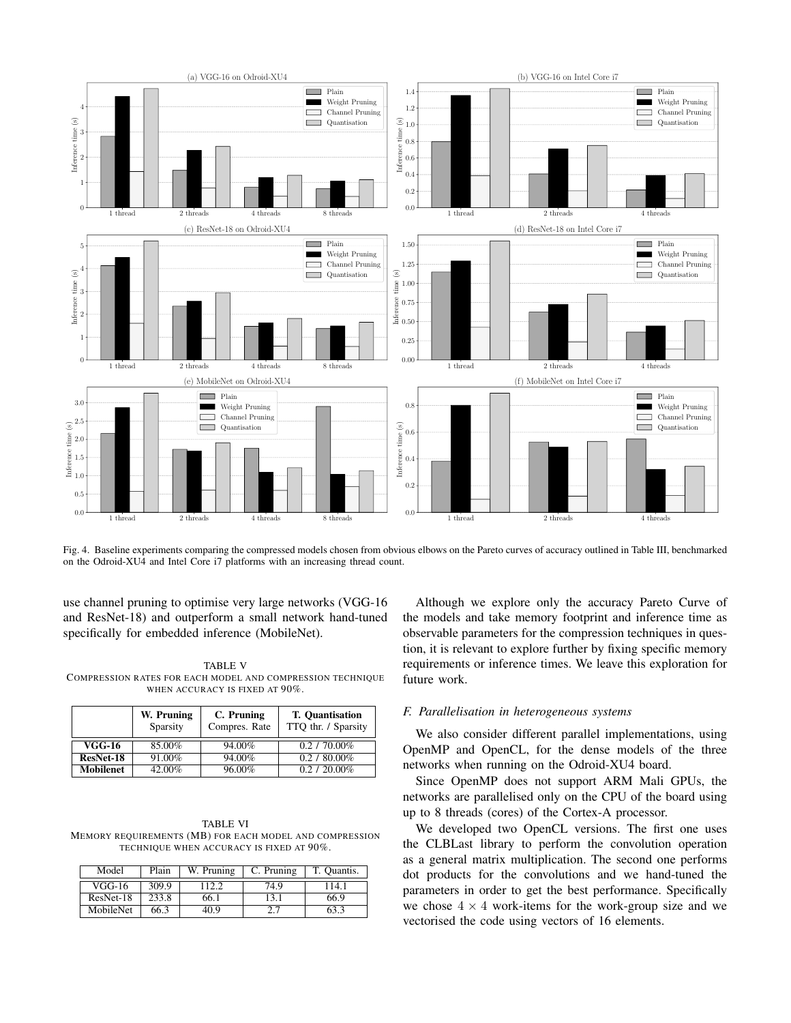

Fig. 4. Baseline experiments comparing the compressed models chosen from obvious elbows on the Pareto curves of accuracy outlined in Table III, benchmarked on the Odroid-XU4 and Intel Core i7 platforms with an increasing thread count.

use channel pruning to optimise very large networks (VGG-16 and ResNet-18) and outperform a small network hand-tuned specifically for embedded inference (MobileNet).

TABLE V COMPRESSION RATES FOR EACH MODEL AND COMPRESSION TECHNIQUE WHEN ACCURACY IS FIXED AT 90%.

|                  | W. Pruning<br>Sparsity | C. Pruning<br>Compres. Rate | <b>T.</b> Ouantisation<br>TTQ thr. / Sparsity |
|------------------|------------------------|-----------------------------|-----------------------------------------------|
| VGG-16           | 85.00%                 | 94.00%                      | $0.2 / 70.00\%$                               |
| ResNet-18        | 91.00%                 | 94.00%                      | $0.2 / 80.00\%$                               |
| <b>Mobilenet</b> | 42.00%                 | 96.00%                      | $0.2 / 20.00\%$                               |

TABLE VI MEMORY REQUIREMENTS (MB) FOR EACH MODEL AND COMPRESSION TECHNIQUE WHEN ACCURACY IS FIXED AT 90%.

| Model            | Plain | W. Pruning | C. Pruning | T. Quantis. |
|------------------|-------|------------|------------|-------------|
| VGG-16           | 309.9 | 112.2      | 74 9       | 14.1        |
| ResNet-18        | 233.8 | 66.1       | 13.1       | 66.9        |
| <b>MobileNet</b> | 66.3  | $^{40.9}$  |            |             |

Although we explore only the accuracy Pareto Curve of the models and take memory footprint and inference time as observable parameters for the compression techniques in question, it is relevant to explore further by fixing specific memory requirements or inference times. We leave this exploration for future work.

## *F. Parallelisation in heterogeneous systems*

We also consider different parallel implementations, using OpenMP and OpenCL, for the dense models of the three networks when running on the Odroid-XU4 board.

Since OpenMP does not support ARM Mali GPUs, the networks are parallelised only on the CPU of the board using up to 8 threads (cores) of the Cortex-A processor.

We developed two OpenCL versions. The first one uses the CLBLast library to perform the convolution operation as a general matrix multiplication. The second one performs dot products for the convolutions and we hand-tuned the parameters in order to get the best performance. Specifically we chose  $4 \times 4$  work-items for the work-group size and we vectorised the code using vectors of 16 elements.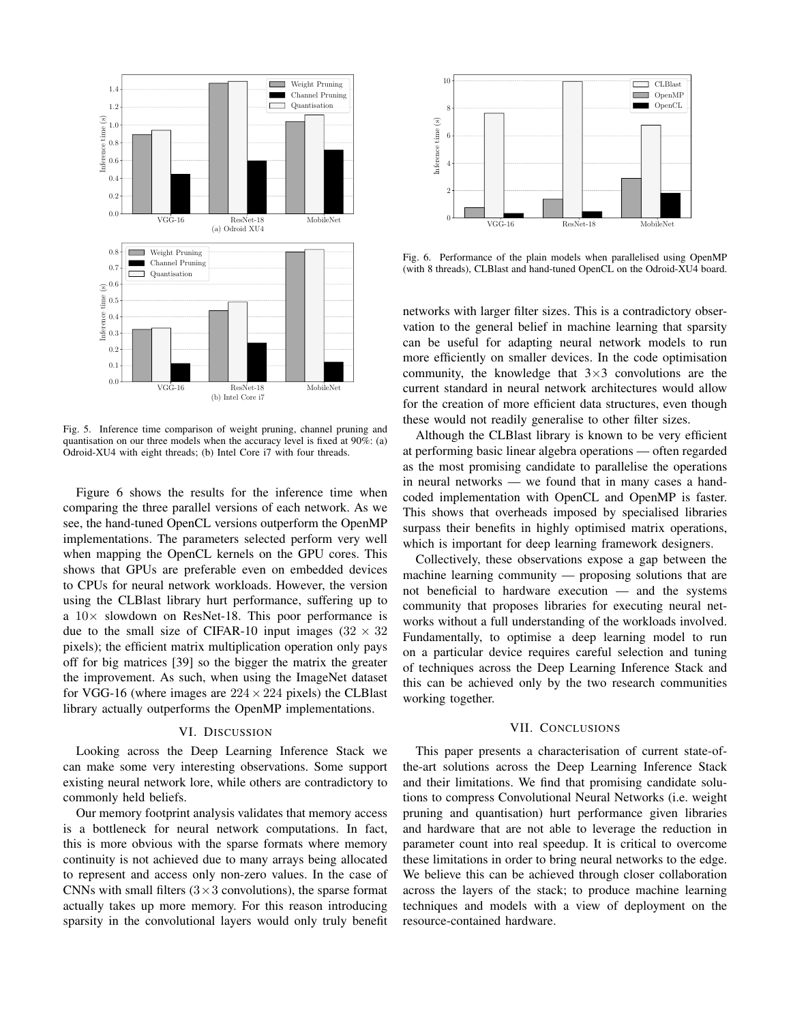

Fig. 5. Inference time comparison of weight pruning, channel pruning and quantisation on our three models when the accuracy level is fixed at 90%: (a) Odroid-XU4 with eight threads; (b) Intel Core i7 with four threads.

Figure 6 shows the results for the inference time when comparing the three parallel versions of each network. As we see, the hand-tuned OpenCL versions outperform the OpenMP implementations. The parameters selected perform very well when mapping the OpenCL kernels on the GPU cores. This shows that GPUs are preferable even on embedded devices to CPUs for neural network workloads. However, the version using the CLBlast library hurt performance, suffering up to a  $10\times$  slowdown on ResNet-18. This poor performance is due to the small size of CIFAR-10 input images  $(32 \times 32)$ pixels); the efficient matrix multiplication operation only pays off for big matrices [39] so the bigger the matrix the greater the improvement. As such, when using the ImageNet dataset for VGG-16 (where images are  $224 \times 224$  pixels) the CLBlast library actually outperforms the OpenMP implementations.

## VI. DISCUSSION

Looking across the Deep Learning Inference Stack we can make some very interesting observations. Some support existing neural network lore, while others are contradictory to commonly held beliefs.

Our memory footprint analysis validates that memory access is a bottleneck for neural network computations. In fact, this is more obvious with the sparse formats where memory continuity is not achieved due to many arrays being allocated to represent and access only non-zero values. In the case of CNNs with small filters  $(3\times3)$  convolutions), the sparse format actually takes up more memory. For this reason introducing sparsity in the convolutional layers would only truly benefit



Fig. 6. Performance of the plain models when parallelised using OpenMP (with 8 threads), CLBlast and hand-tuned OpenCL on the Odroid-XU4 board.

networks with larger filter sizes. This is a contradictory observation to the general belief in machine learning that sparsity can be useful for adapting neural network models to run more efficiently on smaller devices. In the code optimisation community, the knowledge that  $3\times3$  convolutions are the current standard in neural network architectures would allow for the creation of more efficient data structures, even though these would not readily generalise to other filter sizes.

Although the CLBlast library is known to be very efficient at performing basic linear algebra operations — often regarded as the most promising candidate to parallelise the operations in neural networks — we found that in many cases a handcoded implementation with OpenCL and OpenMP is faster. This shows that overheads imposed by specialised libraries surpass their benefits in highly optimised matrix operations, which is important for deep learning framework designers.

Collectively, these observations expose a gap between the machine learning community — proposing solutions that are not beneficial to hardware execution — and the systems community that proposes libraries for executing neural networks without a full understanding of the workloads involved. Fundamentally, to optimise a deep learning model to run on a particular device requires careful selection and tuning of techniques across the Deep Learning Inference Stack and this can be achieved only by the two research communities working together.

# VII. CONCLUSIONS

This paper presents a characterisation of current state-ofthe-art solutions across the Deep Learning Inference Stack and their limitations. We find that promising candidate solutions to compress Convolutional Neural Networks (i.e. weight pruning and quantisation) hurt performance given libraries and hardware that are not able to leverage the reduction in parameter count into real speedup. It is critical to overcome these limitations in order to bring neural networks to the edge. We believe this can be achieved through closer collaboration across the layers of the stack; to produce machine learning techniques and models with a view of deployment on the resource-contained hardware.